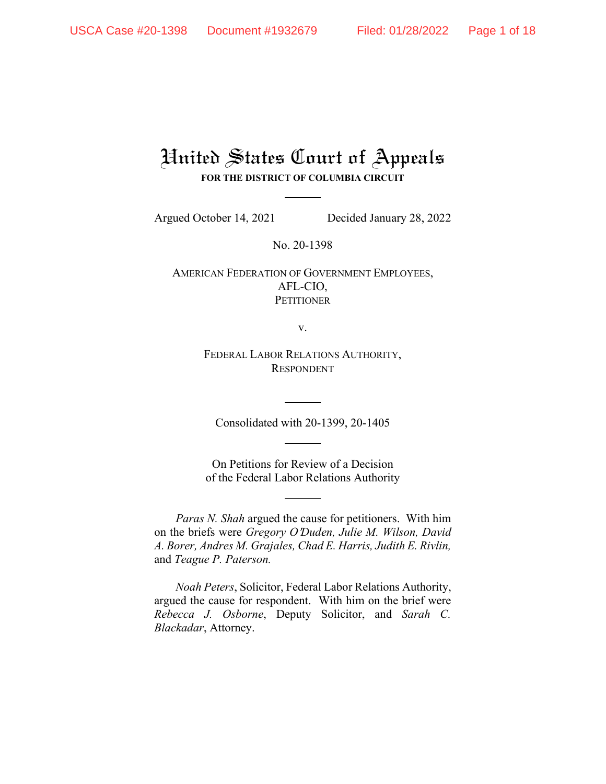# United States Court of Appeals **FOR THE DISTRICT OF COLUMBIA CIRCUIT**

Argued October 14, 2021 Decided January 28, 2022

No. 20-1398

AMERICAN FEDERATION OF GOVERNMENT EMPLOYEES, AFL-CIO, **PETITIONER** 

v.

FEDERAL LABOR RELATIONS AUTHORITY, RESPONDENT

Consolidated with 20-1399, 20-1405

On Petitions for Review of a Decision of the Federal Labor Relations Authority

*Paras N. Shah* argued the cause for petitioners. With him on the briefs were *Gregory O*=*Duden, Julie M. Wilson, David A. Borer, Andres M. Grajales, Chad E. Harris, Judith E. Rivlin,*  and *Teague P. Paterson.*

*Noah Peters*, Solicitor, Federal Labor Relations Authority, argued the cause for respondent. With him on the brief were *Rebecca J. Osborne*, Deputy Solicitor, and *Sarah C. Blackadar*, Attorney.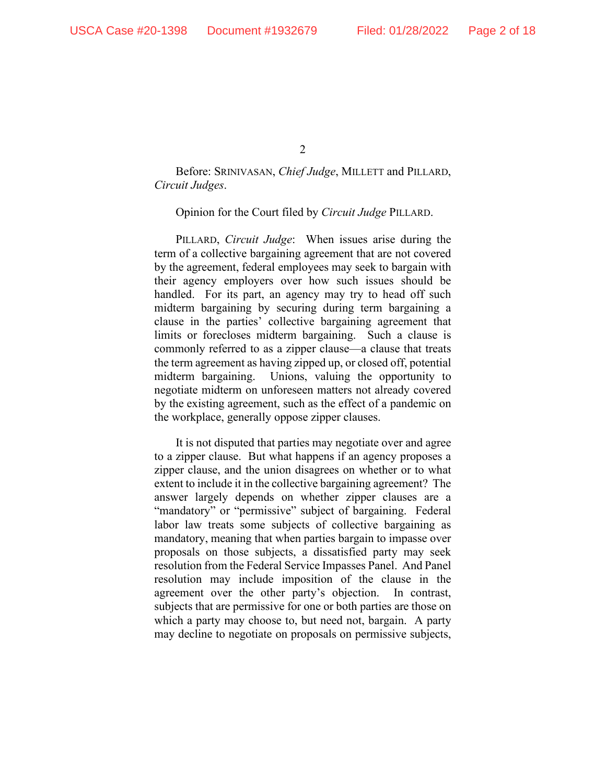Before: SRINIVASAN, *Chief Judge*, MILLETT and PILLARD, *Circuit Judges*.

Opinion for the Court filed by *Circuit Judge* PILLARD.

PILLARD, *Circuit Judge*: When issues arise during the term of a collective bargaining agreement that are not covered by the agreement, federal employees may seek to bargain with their agency employers over how such issues should be handled. For its part, an agency may try to head off such midterm bargaining by securing during term bargaining a clause in the parties' collective bargaining agreement that limits or forecloses midterm bargaining. Such a clause is commonly referred to as a zipper clause—a clause that treats the term agreement as having zipped up, or closed off, potential midterm bargaining. Unions, valuing the opportunity to negotiate midterm on unforeseen matters not already covered by the existing agreement, such as the effect of a pandemic on the workplace, generally oppose zipper clauses.

It is not disputed that parties may negotiate over and agree to a zipper clause. But what happens if an agency proposes a zipper clause, and the union disagrees on whether or to what extent to include it in the collective bargaining agreement? The answer largely depends on whether zipper clauses are a "mandatory" or "permissive" subject of bargaining. Federal labor law treats some subjects of collective bargaining as mandatory, meaning that when parties bargain to impasse over proposals on those subjects, a dissatisfied party may seek resolution from the Federal Service Impasses Panel. And Panel resolution may include imposition of the clause in the agreement over the other party's objection. In contrast, subjects that are permissive for one or both parties are those on which a party may choose to, but need not, bargain. A party may decline to negotiate on proposals on permissive subjects,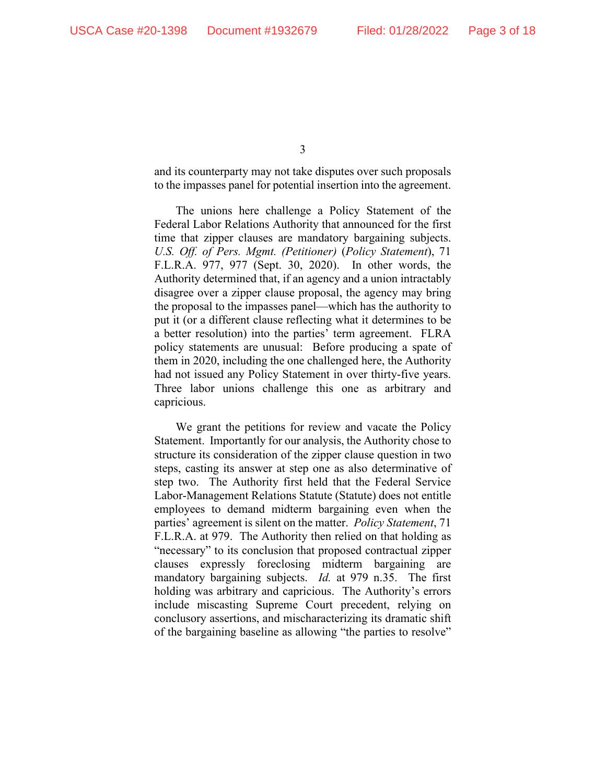and its counterparty may not take disputes over such proposals to the impasses panel for potential insertion into the agreement.

The unions here challenge a Policy Statement of the Federal Labor Relations Authority that announced for the first time that zipper clauses are mandatory bargaining subjects. *U.S. Off. of Pers. Mgmt. (Petitioner)* (*Policy Statement*), 71 F.L.R.A. 977, 977 (Sept. 30, 2020). In other words, the Authority determined that, if an agency and a union intractably disagree over a zipper clause proposal, the agency may bring the proposal to the impasses panel—which has the authority to put it (or a different clause reflecting what it determines to be a better resolution) into the parties' term agreement. FLRA policy statements are unusual: Before producing a spate of them in 2020, including the one challenged here, the Authority had not issued any Policy Statement in over thirty-five years. Three labor unions challenge this one as arbitrary and capricious.

We grant the petitions for review and vacate the Policy Statement. Importantly for our analysis, the Authority chose to structure its consideration of the zipper clause question in two steps, casting its answer at step one as also determinative of step two. The Authority first held that the Federal Service Labor-Management Relations Statute (Statute) does not entitle employees to demand midterm bargaining even when the parties' agreement is silent on the matter. *Policy Statement*, 71 F.L.R.A. at 979. The Authority then relied on that holding as "necessary" to its conclusion that proposed contractual zipper clauses expressly foreclosing midterm bargaining are mandatory bargaining subjects. *Id.* at 979 n.35. The first holding was arbitrary and capricious. The Authority's errors include miscasting Supreme Court precedent, relying on conclusory assertions, and mischaracterizing its dramatic shift of the bargaining baseline as allowing "the parties to resolve"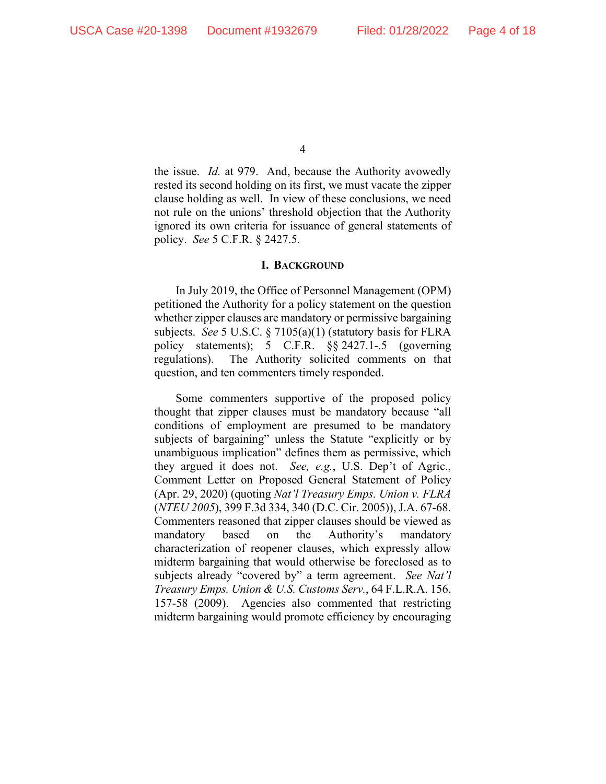the issue. *Id.* at 979. And, because the Authority avowedly rested its second holding on its first, we must vacate the zipper clause holding as well. In view of these conclusions, we need not rule on the unions' threshold objection that the Authority ignored its own criteria for issuance of general statements of policy. *See* 5 C.F.R. § 2427.5.

#### **I. BACKGROUND**

In July 2019, the Office of Personnel Management (OPM) petitioned the Authority for a policy statement on the question whether zipper clauses are mandatory or permissive bargaining subjects. *See* 5 U.S.C. § 7105(a)(1) (statutory basis for FLRA policy statements); 5 C.F.R. §§ 2427.1-.5 (governing regulations). The Authority solicited comments on that question, and ten commenters timely responded.

Some commenters supportive of the proposed policy thought that zipper clauses must be mandatory because "all conditions of employment are presumed to be mandatory subjects of bargaining" unless the Statute "explicitly or by unambiguous implication" defines them as permissive, which they argued it does not. *See, e.g.*, U.S. Dep't of Agric., Comment Letter on Proposed General Statement of Policy (Apr. 29, 2020) (quoting *Nat'l Treasury Emps. Union v. FLRA* (*NTEU 2005*), 399 F.3d 334, 340 (D.C. Cir. 2005)), J.A. 67-68. Commenters reasoned that zipper clauses should be viewed as mandatory based on the Authority's mandatory characterization of reopener clauses, which expressly allow midterm bargaining that would otherwise be foreclosed as to subjects already "covered by" a term agreement. *See Nat'l Treasury Emps. Union & U.S. Customs Serv.*, 64 F.L.R.A. 156, 157-58 (2009). Agencies also commented that restricting midterm bargaining would promote efficiency by encouraging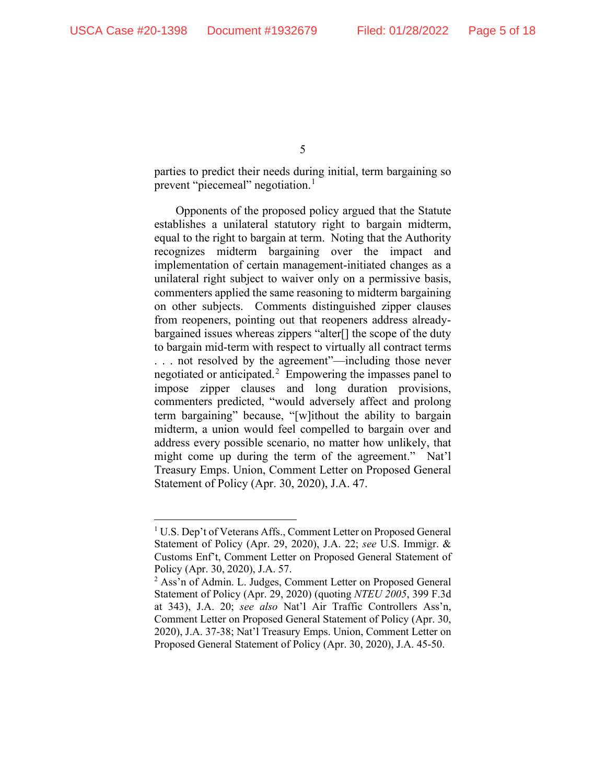parties to predict their needs during initial, term bargaining so prevent "piecemeal" negotiation.<sup>[1](#page-4-0)</sup>

Opponents of the proposed policy argued that the Statute establishes a unilateral statutory right to bargain midterm, equal to the right to bargain at term. Noting that the Authority recognizes midterm bargaining over the impact and implementation of certain management-initiated changes as a unilateral right subject to waiver only on a permissive basis, commenters applied the same reasoning to midterm bargaining on other subjects. Comments distinguished zipper clauses from reopeners, pointing out that reopeners address alreadybargained issues whereas zippers "alter<sup>[]</sup> the scope of the duty to bargain mid-term with respect to virtually all contract terms . . . not resolved by the agreement"—including those never negotiated or anticipated.[2](#page-4-1) Empowering the impasses panel to impose zipper clauses and long duration provisions, commenters predicted, "would adversely affect and prolong term bargaining" because, "[w]ithout the ability to bargain midterm, a union would feel compelled to bargain over and address every possible scenario, no matter how unlikely, that might come up during the term of the agreement." Nat'l Treasury Emps. Union, Comment Letter on Proposed General Statement of Policy (Apr. 30, 2020), J.A. 47.

<span id="page-4-0"></span><sup>&</sup>lt;sup>1</sup> U.S. Dep't of Veterans Affs., Comment Letter on Proposed General Statement of Policy (Apr. 29, 2020), J.A. 22; *see* U.S. Immigr. & Customs Enf't, Comment Letter on Proposed General Statement of Policy (Apr. 30, 2020), J.A. 57.

<span id="page-4-1"></span><sup>&</sup>lt;sup>2</sup> Ass'n of Admin. L. Judges, Comment Letter on Proposed General Statement of Policy (Apr. 29, 2020) (quoting *NTEU 2005*, 399 F.3d at 343), J.A. 20; *see also* Nat'l Air Traffic Controllers Ass'n, Comment Letter on Proposed General Statement of Policy (Apr. 30, 2020), J.A. 37-38; Nat'l Treasury Emps. Union, Comment Letter on Proposed General Statement of Policy (Apr. 30, 2020), J.A. 45-50.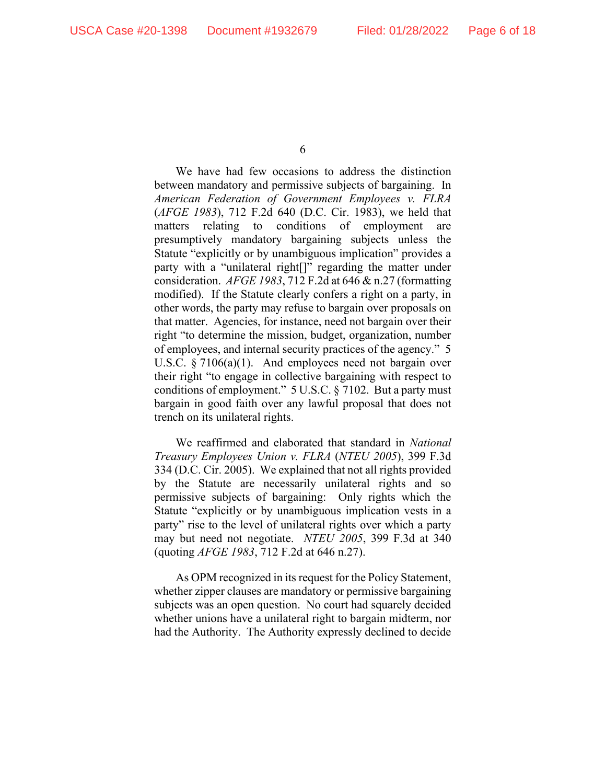We have had few occasions to address the distinction between mandatory and permissive subjects of bargaining. In *American Federation of Government Employees v. FLRA* (*AFGE 1983*), 712 F.2d 640 (D.C. Cir. 1983), we held that matters relating to conditions of employment are presumptively mandatory bargaining subjects unless the Statute "explicitly or by unambiguous implication" provides a party with a "unilateral right[]" regarding the matter under consideration. *AFGE 1983*, 712 F.2d at 646 & n.27 (formatting modified). If the Statute clearly confers a right on a party, in other words, the party may refuse to bargain over proposals on that matter. Agencies, for instance, need not bargain over their right "to determine the mission, budget, organization, number of employees, and internal security practices of the agency." 5 U.S.C. § 7106(a)(1). And employees need not bargain over their right "to engage in collective bargaining with respect to conditions of employment." 5 U.S.C. § 7102. But a party must bargain in good faith over any lawful proposal that does not trench on its unilateral rights.

We reaffirmed and elaborated that standard in *National Treasury Employees Union v. FLRA* (*NTEU 2005*), 399 F.3d 334 (D.C. Cir. 2005). We explained that not all rights provided by the Statute are necessarily unilateral rights and so permissive subjects of bargaining: Only rights which the Statute "explicitly or by unambiguous implication vests in a party" rise to the level of unilateral rights over which a party may but need not negotiate. *NTEU 2005*, 399 F.3d at 340 (quoting *AFGE 1983*, 712 F.2d at 646 n.27).

As OPM recognized in its request for the Policy Statement, whether zipper clauses are mandatory or permissive bargaining subjects was an open question. No court had squarely decided whether unions have a unilateral right to bargain midterm, nor had the Authority. The Authority expressly declined to decide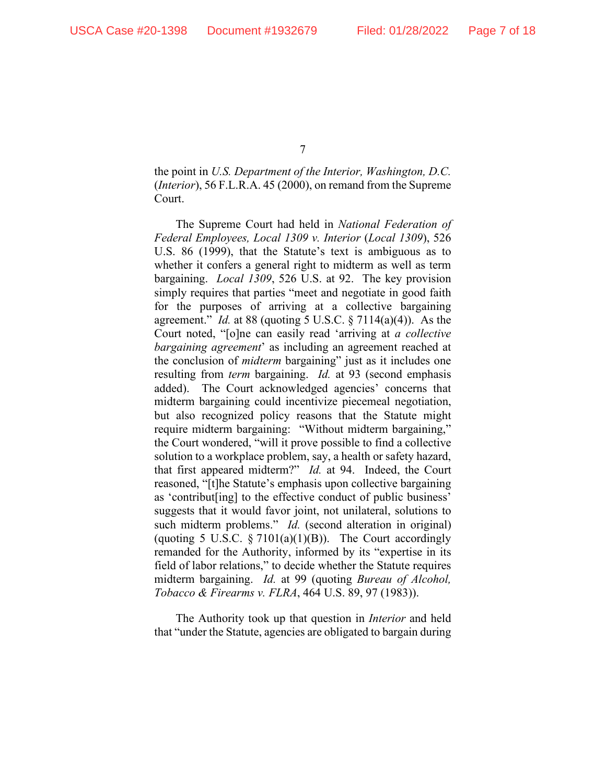the point in *U.S. Department of the Interior, Washington, D.C.* (*Interior*), 56 F.L.R.A. 45 (2000), on remand from the Supreme Court.

The Supreme Court had held in *National Federation of Federal Employees, Local 1309 v. Interior* (*Local 1309*), 526 U.S. 86 (1999), that the Statute's text is ambiguous as to whether it confers a general right to midterm as well as term bargaining. *Local 1309*, 526 U.S. at 92. The key provision simply requires that parties "meet and negotiate in good faith for the purposes of arriving at a collective bargaining agreement." *Id.* at 88 (quoting 5 U.S.C. § 7114(a)(4)). As the Court noted, "[o]ne can easily read 'arriving at *a collective bargaining agreement*' as including an agreement reached at the conclusion of *midterm* bargaining" just as it includes one resulting from *term* bargaining. *Id.* at 93 (second emphasis added). The Court acknowledged agencies' concerns that midterm bargaining could incentivize piecemeal negotiation, but also recognized policy reasons that the Statute might require midterm bargaining: "Without midterm bargaining," the Court wondered, "will it prove possible to find a collective solution to a workplace problem, say, a health or safety hazard, that first appeared midterm?" *Id.* at 94. Indeed, the Court reasoned, "[t]he Statute's emphasis upon collective bargaining as 'contribut[ing] to the effective conduct of public business' suggests that it would favor joint, not unilateral, solutions to such midterm problems." *Id.* (second alteration in original) (quoting 5 U.S.C.  $\S 7101(a)(1)(B)$ ). The Court accordingly remanded for the Authority, informed by its "expertise in its field of labor relations," to decide whether the Statute requires midterm bargaining. *Id.* at 99 (quoting *Bureau of Alcohol, Tobacco & Firearms v. FLRA*, 464 U.S. 89, 97 (1983)).

The Authority took up that question in *Interior* and held that "under the Statute, agencies are obligated to bargain during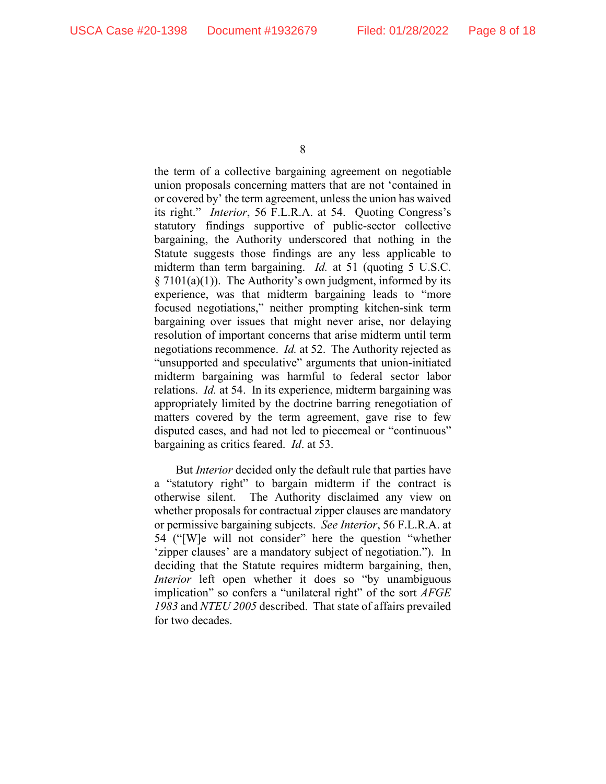the term of a collective bargaining agreement on negotiable union proposals concerning matters that are not 'contained in or covered by' the term agreement, unless the union has waived its right." *Interior*, 56 F.L.R.A. at 54. Quoting Congress's statutory findings supportive of public-sector collective bargaining, the Authority underscored that nothing in the Statute suggests those findings are any less applicable to midterm than term bargaining. *Id.* at 51 (quoting 5 U.S.C.  $\S 7101(a)(1)$ . The Authority's own judgment, informed by its experience, was that midterm bargaining leads to "more focused negotiations," neither prompting kitchen-sink term bargaining over issues that might never arise, nor delaying resolution of important concerns that arise midterm until term negotiations recommence. *Id.* at 52. The Authority rejected as "unsupported and speculative" arguments that union-initiated midterm bargaining was harmful to federal sector labor relations. *Id.* at 54. In its experience, midterm bargaining was appropriately limited by the doctrine barring renegotiation of matters covered by the term agreement, gave rise to few disputed cases, and had not led to piecemeal or "continuous" bargaining as critics feared. *Id*. at 53.

But *Interior* decided only the default rule that parties have a "statutory right" to bargain midterm if the contract is otherwise silent. The Authority disclaimed any view on whether proposals for contractual zipper clauses are mandatory or permissive bargaining subjects. *See Interior*, 56 F.L.R.A. at 54 ("[W]e will not consider" here the question "whether 'zipper clauses' are a mandatory subject of negotiation."). In deciding that the Statute requires midterm bargaining, then, *Interior* left open whether it does so "by unambiguous implication" so confers a "unilateral right" of the sort *AFGE 1983* and *NTEU 2005* described. That state of affairs prevailed for two decades.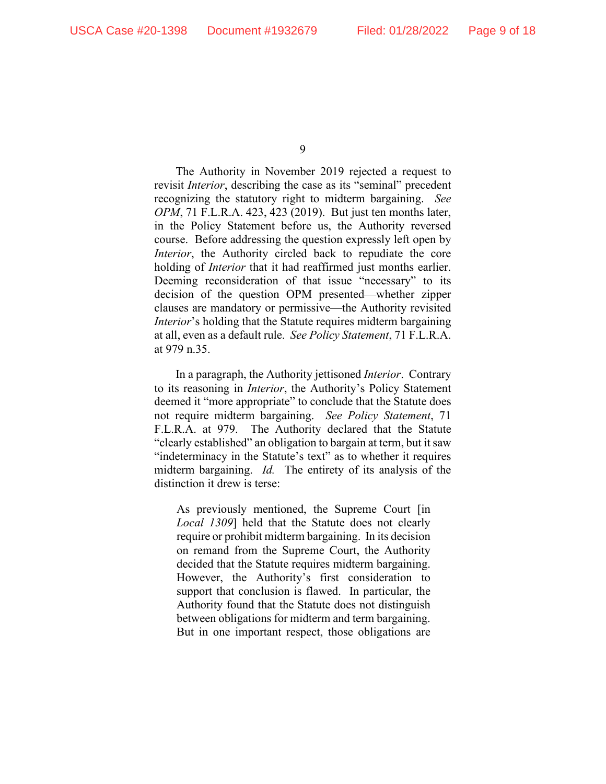The Authority in November 2019 rejected a request to revisit *Interior*, describing the case as its "seminal" precedent recognizing the statutory right to midterm bargaining. *See OPM*, 71 F.L.R.A. 423, 423 (2019). But just ten months later, in the Policy Statement before us, the Authority reversed course. Before addressing the question expressly left open by *Interior*, the Authority circled back to repudiate the core holding of *Interior* that it had reaffirmed just months earlier. Deeming reconsideration of that issue "necessary" to its decision of the question OPM presented—whether zipper clauses are mandatory or permissive—the Authority revisited *Interior*'s holding that the Statute requires midterm bargaining at all, even as a default rule. *See Policy Statement*, 71 F.L.R.A. at 979 n.35.

In a paragraph, the Authority jettisoned *Interior*. Contrary to its reasoning in *Interior*, the Authority's Policy Statement deemed it "more appropriate" to conclude that the Statute does not require midterm bargaining. *See Policy Statement*, 71 F.L.R.A. at 979. The Authority declared that the Statute "clearly established" an obligation to bargain at term, but it saw "indeterminacy in the Statute's text" as to whether it requires midterm bargaining. *Id.* The entirety of its analysis of the distinction it drew is terse:

As previously mentioned, the Supreme Court [in *Local 1309*] held that the Statute does not clearly require or prohibit midterm bargaining. In its decision on remand from the Supreme Court, the Authority decided that the Statute requires midterm bargaining. However, the Authority's first consideration to support that conclusion is flawed. In particular, the Authority found that the Statute does not distinguish between obligations for midterm and term bargaining. But in one important respect, those obligations are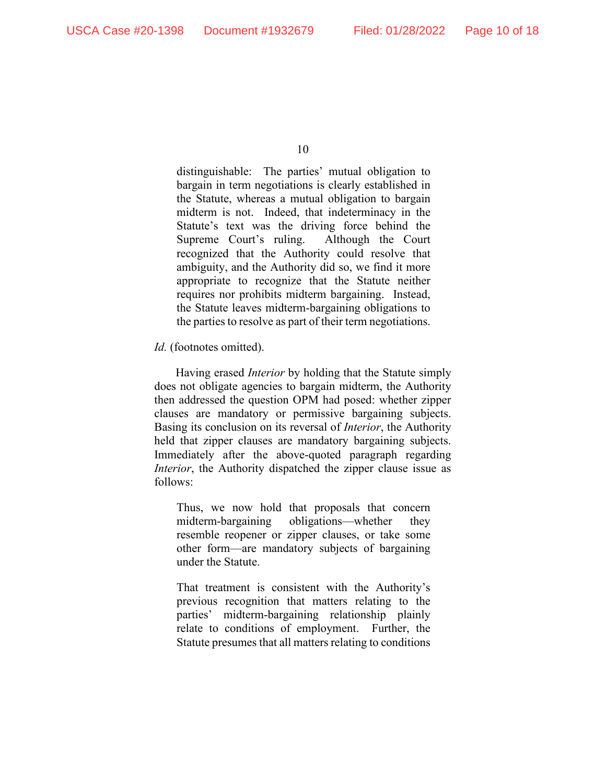distinguishable: The parties' mutual obligation to bargain in term negotiations is clearly established in the Statute, whereas a mutual obligation to bargain midterm is not. Indeed, that indeterminacy in the Statute's text was the driving force behind the Supreme Court's ruling. Although the Court recognized that the Authority could resolve that ambiguity, and the Authority did so, we find it more appropriate to recognize that the Statute neither requires nor prohibits midterm bargaining. Instead, the Statute leaves midterm-bargaining obligations to the parties to resolve as part of their term negotiations.

*Id.* (footnotes omitted).

Having erased *Interior* by holding that the Statute simply does not obligate agencies to bargain midterm, the Authority then addressed the question OPM had posed: whether zipper clauses are mandatory or permissive bargaining subjects. Basing its conclusion on its reversal of *Interior*, the Authority held that zipper clauses are mandatory bargaining subjects. Immediately after the above-quoted paragraph regarding *Interior*, the Authority dispatched the zipper clause issue as follows:

Thus, we now hold that proposals that concern midterm-bargaining obligations—whether they resemble reopener or zipper clauses, or take some other form—are mandatory subjects of bargaining under the Statute.

That treatment is consistent with the Authority's previous recognition that matters relating to the parties' midterm-bargaining relationship plainly relate to conditions of employment. Further, the Statute presumes that all matters relating to conditions

<sup>10</sup>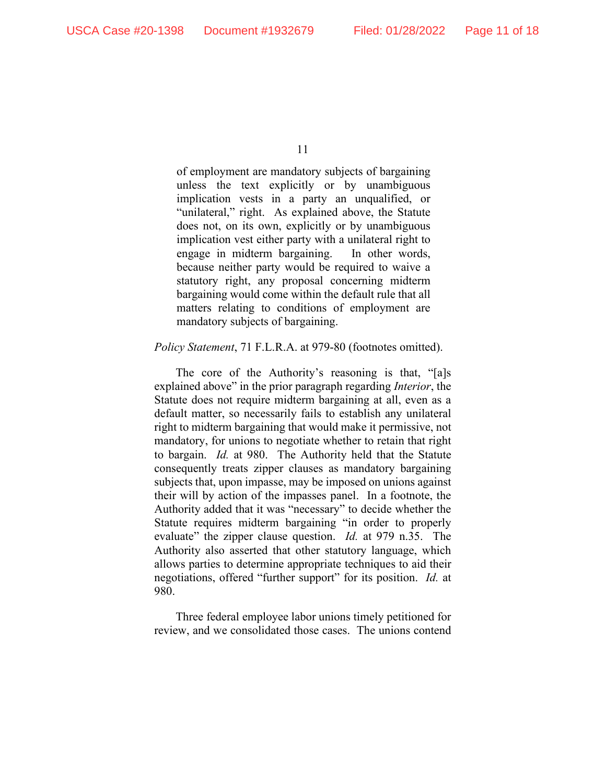of employment are mandatory subjects of bargaining unless the text explicitly or by unambiguous implication vests in a party an unqualified, or "unilateral," right. As explained above, the Statute does not, on its own, explicitly or by unambiguous implication vest either party with a unilateral right to engage in midterm bargaining. In other words, because neither party would be required to waive a statutory right, any proposal concerning midterm bargaining would come within the default rule that all matters relating to conditions of employment are mandatory subjects of bargaining.

#### *Policy Statement*, 71 F.L.R.A. at 979-80 (footnotes omitted).

The core of the Authority's reasoning is that, "[a]s explained above" in the prior paragraph regarding *Interior*, the Statute does not require midterm bargaining at all, even as a default matter, so necessarily fails to establish any unilateral right to midterm bargaining that would make it permissive, not mandatory, for unions to negotiate whether to retain that right to bargain. *Id.* at 980. The Authority held that the Statute consequently treats zipper clauses as mandatory bargaining subjects that, upon impasse, may be imposed on unions against their will by action of the impasses panel. In a footnote, the Authority added that it was "necessary" to decide whether the Statute requires midterm bargaining "in order to properly evaluate" the zipper clause question. *Id.* at 979 n.35. The Authority also asserted that other statutory language, which allows parties to determine appropriate techniques to aid their negotiations, offered "further support" for its position. *Id.* at 980.

Three federal employee labor unions timely petitioned for review, and we consolidated those cases. The unions contend

<sup>11</sup>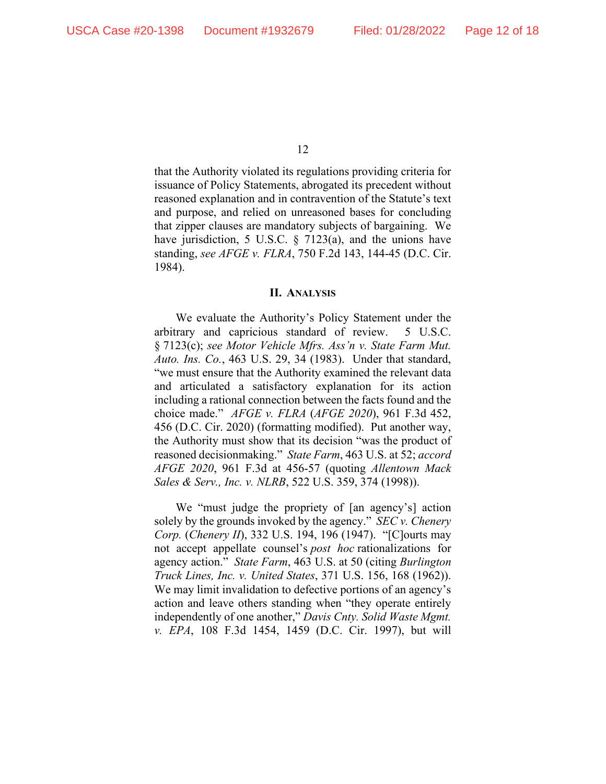that the Authority violated its regulations providing criteria for issuance of Policy Statements, abrogated its precedent without reasoned explanation and in contravention of the Statute's text and purpose, and relied on unreasoned bases for concluding that zipper clauses are mandatory subjects of bargaining. We have jurisdiction, 5 U.S.C. § 7123(a), and the unions have standing, *see AFGE v. FLRA*, 750 F.2d 143, 144-45 (D.C. Cir. 1984).

#### **II. ANALYSIS**

We evaluate the Authority's Policy Statement under the arbitrary and capricious standard of review. 5 U.S.C. § 7123(c); *see Motor Vehicle Mfrs. Ass'n v. State Farm Mut. Auto. Ins. Co.*, 463 U.S. 29, 34 (1983). Under that standard, "we must ensure that the Authority examined the relevant data and articulated a satisfactory explanation for its action including a rational connection between the facts found and the choice made." *AFGE v. FLRA* (*AFGE 2020*), 961 F.3d 452, 456 (D.C. Cir. 2020) (formatting modified). Put another way, the Authority must show that its decision "was the product of reasoned decisionmaking." *State Farm*, 463 U.S. at 52; *accord AFGE 2020*, 961 F.3d at 456-57 (quoting *Allentown Mack Sales & Serv., Inc. v. NLRB*, 522 U.S. 359, 374 (1998)).

We "must judge the propriety of [an agency's] action solely by the grounds invoked by the agency." *SEC v. Chenery Corp.* (*Chenery II*), 332 U.S. 194, 196 (1947). "[C]ourts may not accept appellate counsel's *post hoc* rationalizations for agency action." *State Farm*, 463 U.S. at 50 (citing *Burlington Truck Lines, Inc. v. United States*, 371 U.S. 156, 168 (1962)). We may limit invalidation to defective portions of an agency's action and leave others standing when "they operate entirely independently of one another," *Davis Cnty. Solid Waste Mgmt. v. EPA*, 108 F.3d 1454, 1459 (D.C. Cir. 1997), but will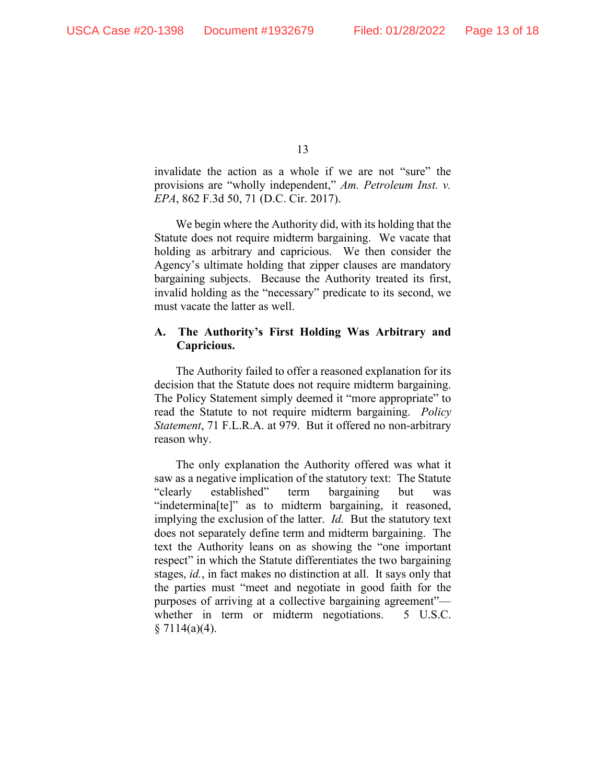invalidate the action as a whole if we are not "sure" the provisions are "wholly independent," *Am. Petroleum Inst. v. EPA*, 862 F.3d 50, 71 (D.C. Cir. 2017).

We begin where the Authority did, with its holding that the Statute does not require midterm bargaining. We vacate that holding as arbitrary and capricious. We then consider the Agency's ultimate holding that zipper clauses are mandatory bargaining subjects. Because the Authority treated its first, invalid holding as the "necessary" predicate to its second, we must vacate the latter as well.

### **A. The Authority's First Holding Was Arbitrary and Capricious.**

The Authority failed to offer a reasoned explanation for its decision that the Statute does not require midterm bargaining. The Policy Statement simply deemed it "more appropriate" to read the Statute to not require midterm bargaining. *Policy Statement*, 71 F.L.R.A. at 979. But it offered no non-arbitrary reason why.

The only explanation the Authority offered was what it saw as a negative implication of the statutory text: The Statute "clearly established" term bargaining but was "indetermina[te]" as to midterm bargaining, it reasoned, implying the exclusion of the latter.*Id.* But the statutory text does not separately define term and midterm bargaining. The text the Authority leans on as showing the "one important respect" in which the Statute differentiates the two bargaining stages, *id.*, in fact makes no distinction at all. It says only that the parties must "meet and negotiate in good faith for the purposes of arriving at a collective bargaining agreement" whether in term or midterm negotiations. 5 U.S.C. § 7114(a)(4).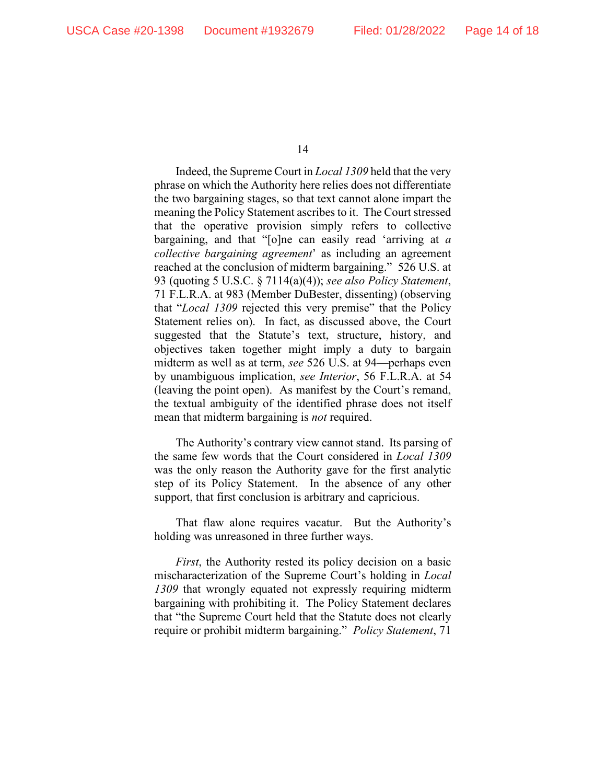Indeed, the Supreme Court in *Local 1309* held that the very phrase on which the Authority here relies does not differentiate the two bargaining stages, so that text cannot alone impart the meaning the Policy Statement ascribes to it. The Court stressed that the operative provision simply refers to collective bargaining, and that "[o]ne can easily read 'arriving at *a collective bargaining agreement*' as including an agreement reached at the conclusion of midterm bargaining." 526 U.S. at 93 (quoting 5 U.S.C. § 7114(a)(4)); *see also Policy Statement*, 71 F.L.R.A. at 983 (Member DuBester, dissenting) (observing that "*Local 1309* rejected this very premise" that the Policy Statement relies on). In fact, as discussed above, the Court suggested that the Statute's text, structure, history, and objectives taken together might imply a duty to bargain midterm as well as at term, *see* 526 U.S. at 94—perhaps even by unambiguous implication, *see Interior*, 56 F.L.R.A. at 54 (leaving the point open). As manifest by the Court's remand, the textual ambiguity of the identified phrase does not itself mean that midterm bargaining is *not* required.

The Authority's contrary view cannot stand. Its parsing of the same few words that the Court considered in *Local 1309* was the only reason the Authority gave for the first analytic step of its Policy Statement. In the absence of any other support, that first conclusion is arbitrary and capricious.

That flaw alone requires vacatur. But the Authority's holding was unreasoned in three further ways.

*First*, the Authority rested its policy decision on a basic mischaracterization of the Supreme Court's holding in *Local 1309* that wrongly equated not expressly requiring midterm bargaining with prohibiting it. The Policy Statement declares that "the Supreme Court held that the Statute does not clearly require or prohibit midterm bargaining." *Policy Statement*, 71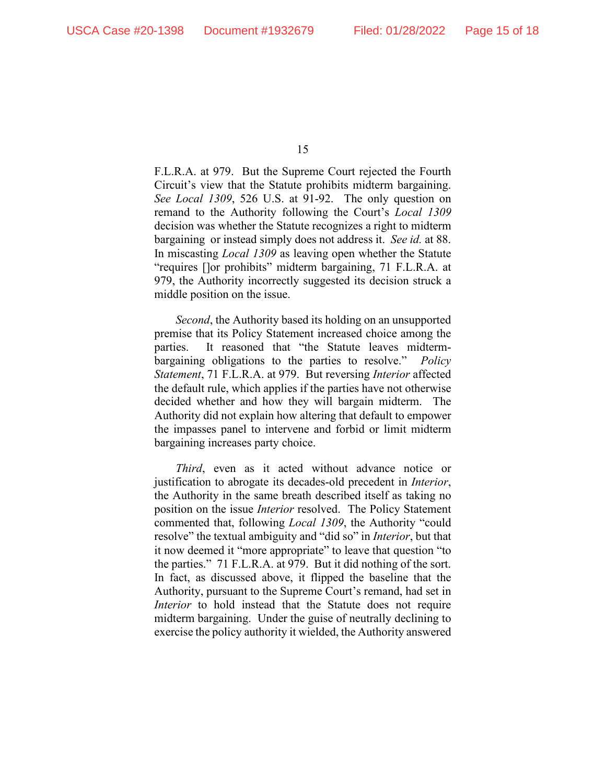F.L.R.A. at 979. But the Supreme Court rejected the Fourth Circuit's view that the Statute prohibits midterm bargaining. *See Local 1309*, 526 U.S. at 91-92. The only question on remand to the Authority following the Court's *Local 1309* decision was whether the Statute recognizes a right to midterm bargaining or instead simply does not address it. *See id.* at 88. In miscasting *Local 1309* as leaving open whether the Statute "requires []or prohibits" midterm bargaining, 71 F.L.R.A. at 979, the Authority incorrectly suggested its decision struck a middle position on the issue.

*Second*, the Authority based its holding on an unsupported premise that its Policy Statement increased choice among the parties. It reasoned that "the Statute leaves midtermbargaining obligations to the parties to resolve." *Policy Statement*, 71 F.L.R.A. at 979. But reversing *Interior* affected the default rule, which applies if the parties have not otherwise decided whether and how they will bargain midterm. The Authority did not explain how altering that default to empower the impasses panel to intervene and forbid or limit midterm bargaining increases party choice.

*Third*, even as it acted without advance notice or justification to abrogate its decades-old precedent in *Interior*, the Authority in the same breath described itself as taking no position on the issue *Interior* resolved. The Policy Statement commented that, following *Local 1309*, the Authority "could resolve" the textual ambiguity and "did so" in *Interior*, but that it now deemed it "more appropriate" to leave that question "to the parties." 71 F.L.R.A. at 979. But it did nothing of the sort. In fact, as discussed above, it flipped the baseline that the Authority, pursuant to the Supreme Court's remand, had set in *Interior* to hold instead that the Statute does not require midterm bargaining. Under the guise of neutrally declining to exercise the policy authority it wielded, the Authority answered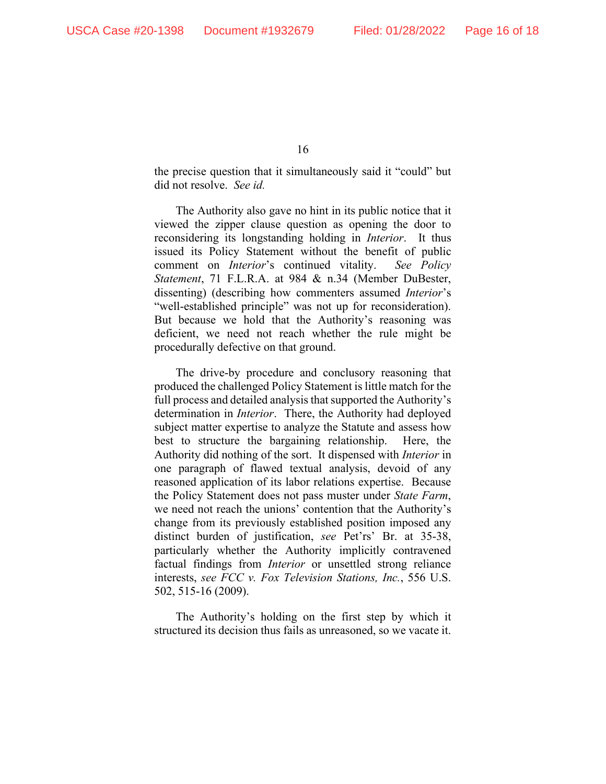the precise question that it simultaneously said it "could" but did not resolve. *See id.*

The Authority also gave no hint in its public notice that it viewed the zipper clause question as opening the door to reconsidering its longstanding holding in *Interior*. It thus issued its Policy Statement without the benefit of public comment on *Interior*'s continued vitality. *See Policy Statement*, 71 F.L.R.A. at 984 & n.34 (Member DuBester, dissenting) (describing how commenters assumed *Interior*'s "well-established principle" was not up for reconsideration). But because we hold that the Authority's reasoning was deficient, we need not reach whether the rule might be procedurally defective on that ground.

The drive-by procedure and conclusory reasoning that produced the challenged Policy Statement is little match for the full process and detailed analysis that supported the Authority's determination in *Interior*. There, the Authority had deployed subject matter expertise to analyze the Statute and assess how best to structure the bargaining relationship. Here, the Authority did nothing of the sort. It dispensed with *Interior* in one paragraph of flawed textual analysis, devoid of any reasoned application of its labor relations expertise. Because the Policy Statement does not pass muster under *State Farm*, we need not reach the unions' contention that the Authority's change from its previously established position imposed any distinct burden of justification, *see* Pet'rs' Br. at 35-38, particularly whether the Authority implicitly contravened factual findings from *Interior* or unsettled strong reliance interests, *see FCC v. Fox Television Stations, Inc.*, 556 U.S. 502, 515-16 (2009).

The Authority's holding on the first step by which it structured its decision thus fails as unreasoned, so we vacate it.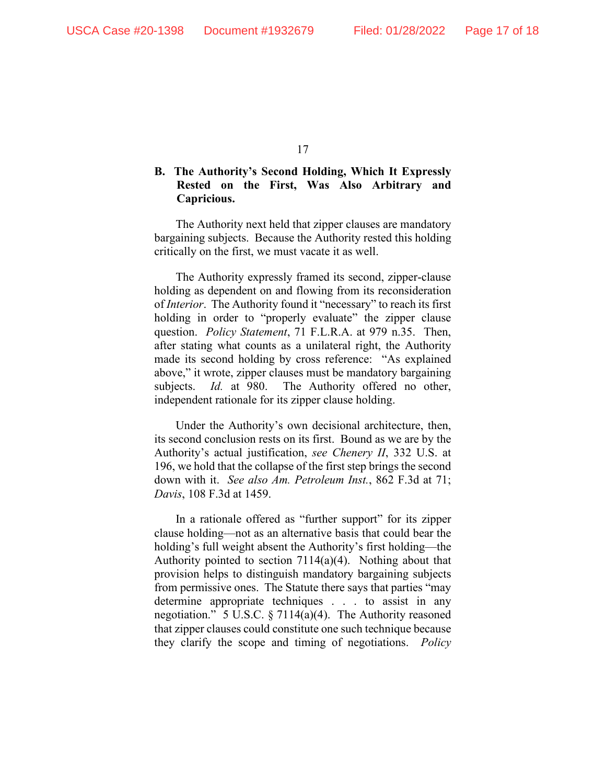## **B. The Authority's Second Holding, Which It Expressly Rested on the First, Was Also Arbitrary and Capricious.**

The Authority next held that zipper clauses are mandatory bargaining subjects. Because the Authority rested this holding critically on the first, we must vacate it as well.

The Authority expressly framed its second, zipper-clause holding as dependent on and flowing from its reconsideration of *Interior*. The Authority found it "necessary" to reach its first holding in order to "properly evaluate" the zipper clause question. *Policy Statement*, 71 F.L.R.A. at 979 n.35. Then, after stating what counts as a unilateral right, the Authority made its second holding by cross reference: "As explained above," it wrote, zipper clauses must be mandatory bargaining subjects. *Id.* at 980. The Authority offered no other, independent rationale for its zipper clause holding.

Under the Authority's own decisional architecture, then, its second conclusion rests on its first. Bound as we are by the Authority's actual justification, *see Chenery II*, 332 U.S. at 196, we hold that the collapse of the first step brings the second down with it. *See also Am. Petroleum Inst.*, 862 F.3d at 71; *Davis*, 108 F.3d at 1459.

In a rationale offered as "further support" for its zipper clause holding—not as an alternative basis that could bear the holding's full weight absent the Authority's first holding—the Authority pointed to section 7114(a)(4). Nothing about that provision helps to distinguish mandatory bargaining subjects from permissive ones. The Statute there says that parties "may determine appropriate techniques . . . to assist in any negotiation." 5 U.S.C. § 7114(a)(4). The Authority reasoned that zipper clauses could constitute one such technique because they clarify the scope and timing of negotiations. *Policy*